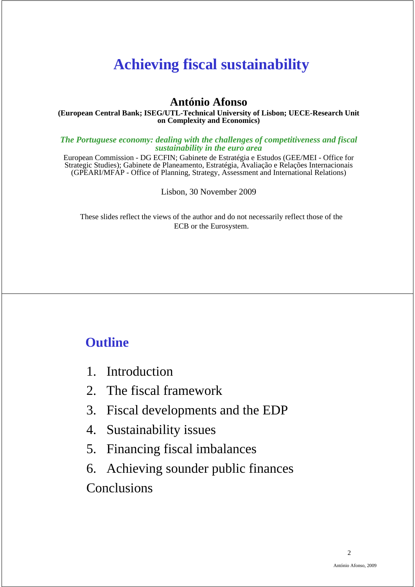# **Achieving fiscal sustainability**

#### **António Afonso**

#### **(European Central Bank; ISEG/UTL-Technical University of Lisbon; UECE-Research Unit on Complexity and Economics)**

*The Portuguese economy: dealing with the challenges of competitiveness and fiscal sustainability in the euro area*

European Commission - DG ECFIN; Gabinete de Estratégia e Estudos (GEE/MEI - Office for Strategic Studies); Gabinete de Planeamento, Estratégia, Avaliação e Relações Internacionais (GPEARI/MFAP - Office of Planning, Strategy, Assessment and International Relations)

Lisbon, 30 November 2009

These slides reflect the views of the author and do not necessarily reflect those of the ECB or the Eurosystem.

## **Outline**

- 1. Introduction
- 2. The fiscal framework
- 3. Fiscal developments and the EDP
- 4. Sustainability issues
- 5. Financing fiscal imbalances
- 6. Achieving sounder public finances **Conclusions**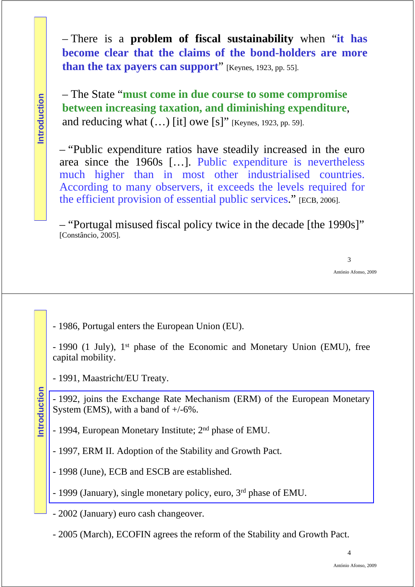– There is a **problem of fiscal sustainability** when "**it has become clear that the claims of the bond-holders are more than the tax payers can support**" [Keynes, 1923, pp. 55].

– The State "**must come in due course to some compromise between increasing taxation, and diminishing expenditure**, and reducing what  $(...)$  [it] owe [s]" [Keynes, 1923, pp. 59].

– "Public expenditure ratios have steadily increased in the euro area since the 1960s […]. Public expenditure is nevertheless much higher than in most other industrialised countries. According to many observers, it exceeds the levels required for the efficient provision of essential public services." [ECB, 2006].

– "Portugal misused fiscal policy twice in the decade [the 1990s]" [Constâncio, 2005].

- 1986, Portugal enters the European Union (EU).

- 1990 (1 July), 1st phase of the Economic and Monetary Union (EMU), free capital mobility.

- 1991, Maastricht/EU Treaty.

- 1992, joins the Exchange Rate Mechanism (ERM) of the European Monetary System (EMS), with a band of  $+/-6\%$ .

- 1994, European Monetary Institute; 2nd phase of EMU.

- 1997, ERM II. Adoption of the Stability and Growth Pact.

- 1998 (June), ECB and ESCB are established.

- 1999 (January), single monetary policy, euro, 3rd phase of EMU.

- 2002 (January) euro cash changeover.

- 2005 (March), ECOFIN agrees the reform of the Stability and Growth Pact.

**Introduction**

ntroduction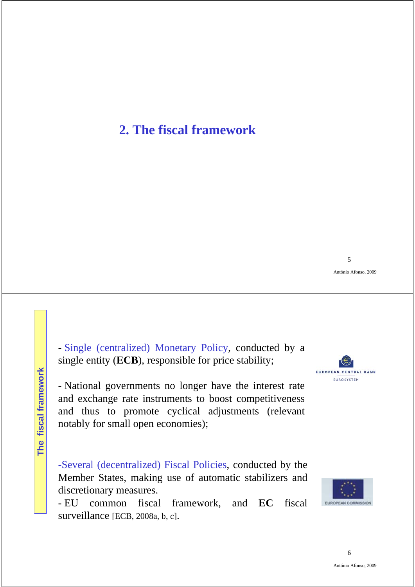## **2. The fiscal framework**

- Single (centralized) Monetary Policy, conducted by a single entity (**ECB**), responsible for price stability;

- National governments no longer have the interest rate and exchange rate instruments to boost competitiveness and thus to promote cyclical adjustments (relevant notably for small open economies);

-Several (decentralized) Fiscal Policies, conducted by the Member States, making use of automatic stabilizers and discretionary measures.

- EU common fiscal framework, and **EC** fiscal surveillance [ECB, 2008a, b, c].



5

António Afonso, 2009



6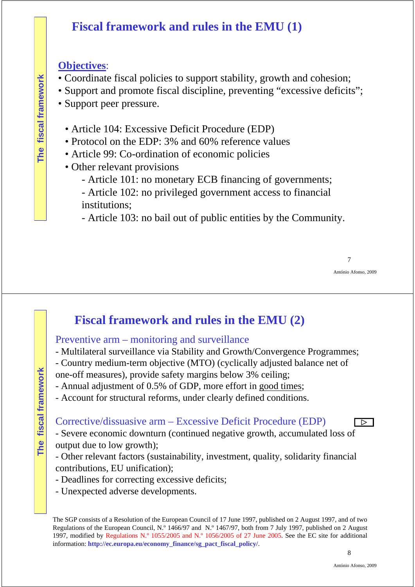## **Fiscal framework and rules in the EMU (1)**

### **Objectives**:

**The fiscal framework**

The fiscal framework

- Coordinate fiscal policies to support stability, growth and cohesion;
- Support and promote fiscal discipline, preventing "excessive deficits";
- Support peer pressure.
	- Article 104: Excessive Deficit Procedure (EDP)
	- Protocol on the EDP: 3% and 60% reference values
	- Article 99: Co-ordination of economic policies
	- Other relevant provisions
		- Article 101: no monetary ECB financing of governments;
		- Article 102: no privileged government access to financial institutions;
		- Article 103: no bail out of public entities by the Community.

António Afonso, 2009

# **Fiscal framework and rules in the EMU (2)**

### Preventive arm – monitoring and surveillance

- Multilateral surveillance via Stability and Growth/Convergence Programmes;
- Country medium-term objective (MTO) (cyclically adjusted balance net of
- one-off measures), provide safety margins below 3% ceiling;
- Annual adjustment of 0.5% of GDP, more effort in good times;
- Account for structural reforms, under clearly defined conditions.

#### Corrective/dissuasive arm – Excessive Deficit Procedure (EDP)

- Severe economic downturn (continued negative growth, accumulated loss of output due to low growth);

- Other relevant factors (sustainability, investment, quality, solidarity financial contributions, EU unification);
- Deadlines for correcting excessive deficits;
- Unexpected adverse developments.

 $\overline{\triangleright}$   $\overline{\triangleright}$ 

The SGP consists of a Resolution of the European Council of 17 June 1997, published on 2 August 1997, and of two Regulations of the European Council, N.º 1466/97 and N.º 1467/97, both from 7 July 1997, published on 2 August 1997, modified by Regulations N.º 1055/2005 and N.º 1056/2005 of 27 June 2005. See the EC site for additional information: **http://ec.europa.eu/economy\_finance/sg\_pact\_fiscal\_policy/**.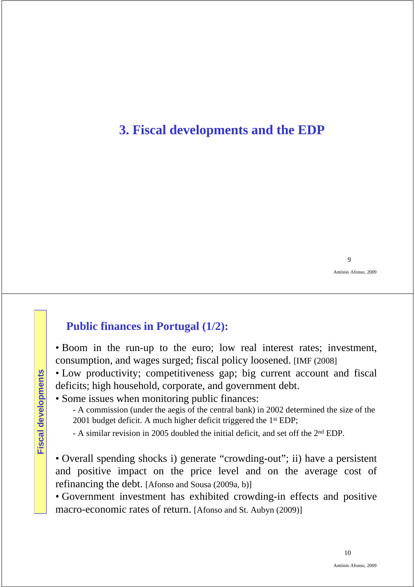## **3. Fiscal developments and the EDP**

António Afonso, 2009

### **Public finances in Portugal (1/2):**

• Boom in the run-up to the euro; low real interest rates; investment, consumption, and wages surged; fiscal policy loosened. [IMF (2008]

• Low productivity; competitiveness gap; big current account and fiscal deficits; high household, corporate, and government debt.

• Some issues when monitoring public finances:

- A commission (under the aegis of the central bank) in 2002 determined the size of the 2001 budget deficit. A much higher deficit triggered the 1st EDP;

- A similar revision in 2005 doubled the initial deficit, and set off the 2nd EDP.

• Overall spending shocks i) generate "crowding-out"; ii) have a persistent and positive impact on the price level and on the average cost of refinancing the debt. [Afonso and Sousa (2009a, b)]

• Government investment has exhibited crowding-in effects and positive macro-economic rates of return. [Afonso and St. Aubyn (2009)]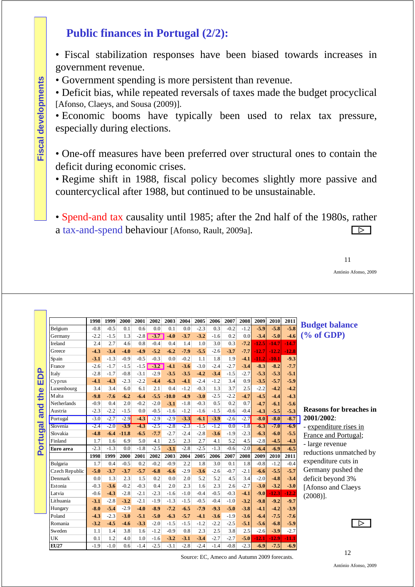## **Public finances in Portugal (2/2):**

• Fiscal stabilization responses have been biased towards increases in government revenue.

• Government spending is more persistent than revenue.

• Deficit bias, while repeated reversals of taxes made the budget procyclical [Afonso, Claeys, and Sousa (2009)].

• Economic booms have typically been used to relax tax pressure, especially during elections.

• One-off measures have been preferred over structural ones to contain the deficit during economic crises.

• Regime shift in 1988, fiscal policy becomes slightly more passive and countercyclical after 1988, but continued to be unsustainable.

• Spend-and tax causality until 1985; after the 2nd half of the 1980s, rather a tax-and-spend behaviour [Afonso, Rault, 2009a].  $\Box$ 

11

António Afonso, 2009

|                       |                | 1998   | 1999   | 2000    | 2001   | 2002   | 2003    | 2004   | 2005   | 2006   | 2007   | 2008   | 2009    | 2010    | 2011    |                                |
|-----------------------|----------------|--------|--------|---------|--------|--------|---------|--------|--------|--------|--------|--------|---------|---------|---------|--------------------------------|
|                       | Belgium        | $-0.8$ | $-0.5$ | 0.1     | 0.6    | 0.0    | 0.1     | 0.0    | $-2.3$ | 0.3    | $-0.2$ | $-1.2$ | $-5.9$  | $-5.8$  | $-5.8$  | <b>Budget balance</b>          |
|                       | Germany        | $-2.2$ | $-1.5$ | 1.3     | $-2.8$ | $-3.7$ | $-4.0$  | $-3.7$ | $-3.2$ | $-1.6$ | 0.2    | 0.0    | $-3.4$  | $-5.0$  | $-4.6$  | $(\%$ of GDP)                  |
|                       | Ireland        | 2.4    | 2.7    | 4.6     | 0.8    | $-0.4$ | 0.4     | 1.4    | 1.0    | 3.0    | 0.3    | $-7.2$ | $-12.5$ | $-14.7$ | $-14.7$ |                                |
|                       | Greece         | $-4.3$ | $-3.4$ | $-4.0$  | $-4.9$ | $-5.2$ | $-6.2$  | $-7.9$ | $-5.5$ | $-2.6$ | $-3.7$ | $-7.7$ | $-12.7$ | $-12.2$ | $-12.8$ |                                |
|                       | Spain          | $-3.1$ | $-1.3$ | $-0.9$  | $-0.5$ | $-0.3$ | 0.0     | $-0.2$ | 1.1    | 1.8    | 1.9    | $-4.1$ | $-11.2$ | $-10.1$ | $-9.3$  |                                |
|                       | France         | $-2.6$ | $-1.7$ | $-1.5$  | $-1.5$ | $-3.2$ | $-4.1$  | $-3.6$ | $-3.0$ | $-2.4$ | $-2.7$ | $-3.4$ | $-8.3$  | $-8.2$  | $-7.7$  |                                |
| B                     | Italy          | $-2.8$ | $-1.7$ | $-0.8$  | $-3.1$ | $-2.9$ | $-3.5$  | $-3.5$ | $-4.2$ | $-3.4$ | $-1.5$ | $-2.7$ | $-5.3$  | $-5.3$  | $-5.1$  |                                |
| ш                     | Cyprus         | $-4.1$ | $-4.3$ | $-2.3$  | $-2.2$ | $-4.4$ | $-6.3$  | $-4.1$ | $-2.4$ | $-1.2$ | 3.4    | 0.9    | $-3.5$  | $-5.7$  | $-5.9$  |                                |
|                       | Luxembourg     | 3.4    | 3.4    | 6.0     | 6.1    | 2.1    | 0.4     | $-1.2$ | $-0.3$ | 1.3    | 3.7    | 2.5    | $-2.2$  | $-4.2$  | $-4.2$  |                                |
| the                   | Malta          | $-9.8$ | $-7.6$ | $-6.2$  | $-6.4$ | $-5.5$ | $-10.0$ | $-4.9$ | $-3.0$ | $-2.5$ | $-2.2$ | $-4.7$ | $-4.5$  | $-4.4$  | $-4.3$  |                                |
| ರ                     | Netherlands    | $-0.9$ | 0.4    | 2.0     | $-0.2$ | $-2.0$ | $-3.1$  | $-1.8$ | $-0.3$ | 0.5    | 0.2    | 0.7    | $-4.7$  | $-6.1$  | $-5.6$  |                                |
| nie                   | Austria        | $-2.3$ | $-2.2$ | $-1.5$  | 0.0    | $-0.5$ | $-1.6$  | $-1.2$ | $-1.6$ | $-1.5$ | $-0.6$ | $-0.4$ | $-4.3$  | $-5.5$  | $-5.3$  | <b>Reasons for breaches in</b> |
| -                     | Portugal       | $-3.0$ | $-2.7$ | $-2.9$  | $-4.3$ | $-2.9$ | $-2.9$  | $-3.3$ | $-6.1$ | $-3.9$ | $-2.6$ | $-2.7$ | $-8.0$  | $-8.0$  | $-8.7$  | 2001/2002:                     |
| $\boldsymbol{\sigma}$ | Slovenia       | $-2.4$ | $-2.0$ | $-3.9$  | $-4.3$ | $-2.5$ | $-2.8$  | $-2.3$ | $-1.5$ | $-1.2$ | 0.0    | $-1.8$ | $-6.3$  | $-7.0$  | $-6.9$  | - expenditure rises in         |
| o                     | Slovakia       | $-4.8$ | $-6.4$ | $-11.8$ | $-6.5$ | $-7.7$ | $-2.7$  | $-2.4$ | $-2.8$ | $-3.6$ | $-1.9$ | $-2.3$ | $-6.3$  | $-6.0$  | $-5.5$  | France and Portugal;           |
| ortu                  | Finland        | 1.7    | 1.6    | 6.9     | 5.0    | 4.1    | 2.5     | 2.3    | 2.7    | 4.1    | 5.2    | 4.5    | $-2.8$  | $-4.5$  | $-4.3$  | - large revenue                |
| Δ.                    | Euro area      | $-2.3$ | $-1.3$ | 0.0     | $-1.8$ | $-2.5$ | $-3.1$  | $-2.8$ | $-2.5$ | $-1.3$ | $-0.6$ | $-2.0$ | $-6.4$  | $-6.9$  | $-6.5$  | reductions unmatched by        |
|                       |                | 1998   | 1999   | 2000    | 2001   | 2002   | 2003    | 2004   | 2005   | 2006   | 2007   | 2008   | 2009    | 2010    | 2011    |                                |
|                       | Bulgaria       | 1.7    | 0.4    | $-0.5$  | 0.2    | $-0.2$ | $-0.9$  | 2.2    | 1.8    | 3.0    | 0.1    | 1.8    | $-0.8$  | $-1.2$  | $-0.4$  | expenditure cuts in            |
|                       | Czech Republic | $-5.0$ | $-3.7$ | $-3.7$  | $-5.7$ | $-6.8$ | $-6.6$  | $-2.9$ | $-3.6$ | $-2.6$ | $-0.7$ | $-2.1$ | $-6.6$  | $-5.5$  | $-5.7$  | Germany pushed the             |
|                       | Denmark        | 0.0    | 1.3    | 2.3     | 1.5    | 0.2    | 0.0     | 2.0    | 5.2    | 5.2    | 4.5    | 3.4    | $-2.0$  | $-4.8$  | $-3.4$  | deficit beyond 3%              |
|                       | Estonia        | $-0.3$ | $-3.6$ | $-0.2$  | $-0.3$ | 0.4    | 2.0     | 2.3    | 1.6    | 2.3    | 2.6    | $-2.7$ | $-3.0$  | $-3.2$  | $-3.0$  | [Afonso and Claeys             |
|                       | Latvia         | $-0.6$ | $-4.3$ | $-2.8$  | $-2.1$ | $-2.3$ | $-1.6$  | $-1.0$ | $-0.4$ | $-0.5$ | $-0.3$ | $-4.1$ | $-9.0$  | $-12.3$ | $-12.2$ | $(2008)$ ].                    |
|                       | Lithuania      | $-3.1$ | $-2.8$ | $-3.2$  | $-2.1$ | $-1.9$ | $-1.3$  | $-1.5$ | $-0.5$ | $-0.4$ | $-1.0$ | $-3.2$ | $-9.8$  | $-9.2$  | $-9.7$  |                                |
|                       | Hungary        | $-8.0$ | $-5.4$ | $-2.9$  | $-4.0$ | $-8.9$ | $-7.2$  | $-6.5$ | $-7.9$ | $-9.3$ | $-5.0$ | $-3.8$ | $-4.1$  | $-4.2$  | $-3.9$  |                                |
|                       | Poland         | $-4.3$ | $-2.3$ | $-3.0$  | $-5.1$ | $-5.0$ | $-6.3$  | $-5.7$ | $-4.1$ | $-3.6$ | $-1.9$ | $-3.6$ | $-6.4$  | $-7.5$  | $-7.6$  |                                |
|                       | Romania        | $-3.2$ | $-4.5$ | $-4.6$  | $-3.3$ | $-2.0$ | $-1.5$  | $-1.5$ | $-1.2$ | $-2.2$ | $-2.5$ | $-5.1$ | $-5.6$  | $-6.8$  | $-5.9$  | ▷                              |
|                       | Sweden         | 1.1    | 1.4    | 3.8     | 1.6    | $-1.2$ | $-0.9$  | 0.8    | 2.3    | 2.5    | 3.8    | 2.5    | $-2.6$  | $-3.9$  | $-2.7$  |                                |
|                       | UK             | 0.1    | 1.2    | 4.0     | 1.0    | $-1.6$ | $-3.2$  | $-3.1$ | $-3.4$ | $-2.7$ | $-2.7$ | $-5.0$ | $-12.1$ | $-12.9$ | $-11.1$ |                                |
|                       | <b>EU27</b>    | $-1.9$ | $-1.0$ | 0.6     | $-1.4$ | $-2.5$ | $-3.1$  | $-2.8$ | $-2.4$ | $-1.4$ | $-0.8$ | $-2.3$ | $-6.9$  | $-7.5$  | $-6.9$  |                                |

Source: EC, Ameco and Autumn 2009 forecasts.

 $\mathcal{L}(\mathcal{A})$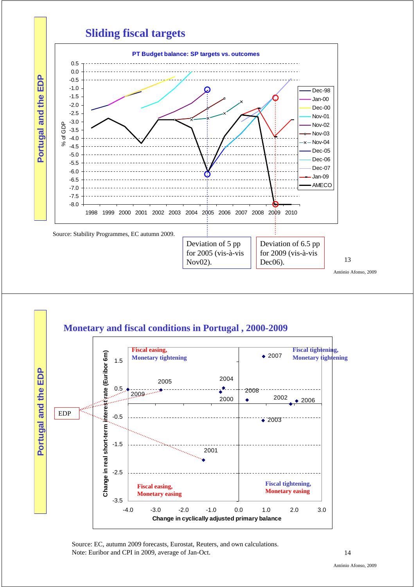



Source: EC, autumn 2009 forecasts, Eurostat, Reuters, and own calculations. Note: Euribor and CPI in 2009, average of Jan-Oct.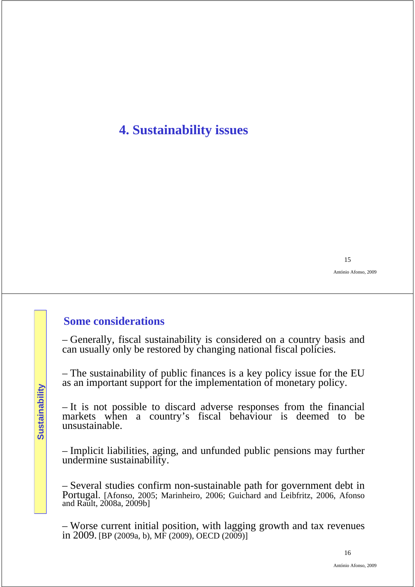# **4. Sustainability issues**

15

António Afonso, 2009

#### **Some considerations**

– Generally, fiscal sustainability is considered on a country basis and can usually only be restored by changing national fiscal policies.

– The sustainability of public finances is a key policy issue for the EU as an important support for the implementation of monetary policy.

– It is not possible to discard adverse responses from the financial markets when a country's fiscal behaviour is deemed to be unsustainable.

– Implicit liabilities, aging, and unfunded public pensions may further undermine sustainability.

– Several studies confirm non-sustainable path for government debt in Portugal. [Afonso, 2005; Marinheiro, 2006; Guichard and Leibfritz, 2006, Afonso and Rault, 2008a, 2009b]

– Worse current initial position, with lagging growth and tax revenues in 2009. [BP (2009a, b), MF (2009), OECD (2009)]

Sustainability **Sustainability**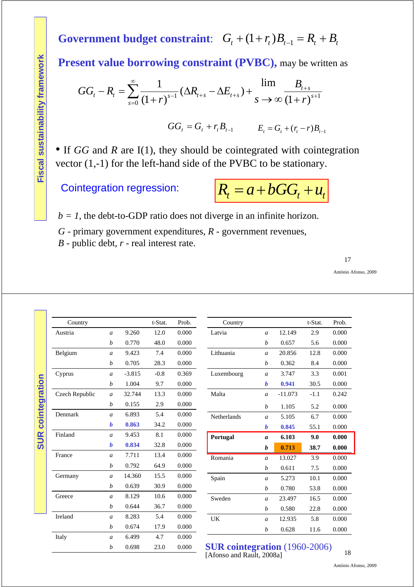**Government budget constraint:**  $G_t + (1 + r_t)B_{t-1} = R_t + B_t$ 

Present value borrowing constraint (PVBC), may be written as

$$
GG_{t} - R_{t} = \sum_{s=0}^{\infty} \frac{1}{(1+r)^{s-1}} (\Delta R_{t+s} - \Delta E_{t+s}) + \lim_{s \to \infty} \frac{B_{t+s}}{(1+r)^{s+1}}
$$

 $GG_t = G_t + r_t B_{t-1}$   $E_t = G_t + (r_t - r)B_{t-1}$ 

• If *GG* and *R* are I(1), they should be cointegrated with cointegration vector (1,-1) for the left-hand side of the PVBC to be stationary.

**Cointegration regression:** 

$$
R_t = a + bGG_t + u_t
$$

 $b = 1$ , the debt-to-GDP ratio does not diverge in an infinite horizon.

*G* - primary government expenditures, *R* - government revenues,

*B* - public debt, *r* - real interest rate.

17

António Afonso, 2009

| 12.149<br>0.657 | t-Stat.<br>2.9 | Prob. |
|-----------------|----------------|-------|
|                 |                |       |
|                 |                | 0.000 |
|                 | 5.6            | 0.000 |
| 20.856          | 12.8           | 0.000 |
| 0.362           | 8.4            | 0.000 |
| 3.747           | 3.3            | 0.001 |
| 0.941           | 30.5           | 0.000 |
| $-11.073$       | $-1.1$         | 0.242 |
| 1.105           | 5.2            | 0.000 |
| 5.105           | 6.7            | 0.000 |
| 0.845           | 55.1           | 0.000 |
| 6.103           | 9.0            | 0.000 |
| 0.713           | 38.7           | 0.000 |
| 13.027          | 3.9            | 0.000 |
| 0.611           | 7.5            | 0.000 |
| 5.273           | 10.1           | 0.000 |
| 0.780           | 53.8           | 0.000 |
| 23.497          | 16.5           | 0.000 |
| 0.580           | 22.8           | 0.000 |
| 12.935          | 5.8            | 0.000 |
| 0.628           | 11.6           | 0.000 |
|                 |                |       |
|                 |                |       |

*b* 0.698 23.0 0.000

#### **SUR cointegration** (1960-2006) [Afonso and Rault, 2008a]

António Afonso, 2009

18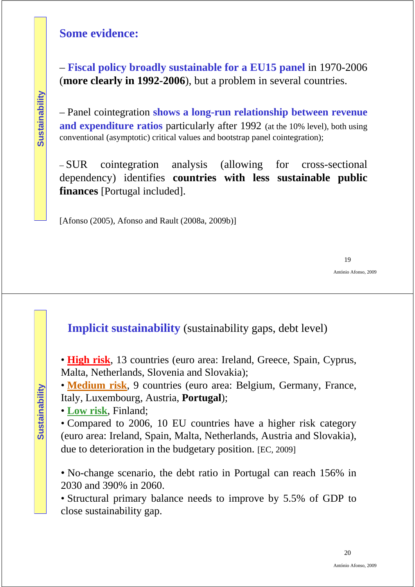### **Some evidence:**

– **Fiscal policy broadly sustainable for a EU15 panel** in 1970-2006 (**more clearly in 1992-2006**), but a problem in several countries.

– Panel cointegration **shows a long-run relationship between revenue and expenditure ratios** particularly after 1992 (at the 10% level), both using conventional (asymptotic) critical values and bootstrap panel cointegration);

– SUR cointegration analysis (allowing for cross-sectional dependency) identifies **countries with less sustainable public finances** [Portugal included].

[Afonso (2005), Afonso and Rault (2008a, 2009b)]

19

António Afonso, 2009

### **Implicit sustainability** (sustainability gaps, debt level)

• **High risk**, 13 countries (euro area: Ireland, Greece, Spain, Cyprus, Malta, Netherlands, Slovenia and Slovakia);

• **Medium risk**, 9 countries (euro area: Belgium, Germany, France, Italy, Luxembourg, Austria, **Portugal**);

• **Low risk**, Finland;

• Compared to 2006, 10 EU countries have a higher risk category (euro area: Ireland, Spain, Malta, Netherlands, Austria and Slovakia), due to deterioration in the budgetary position. [EC, 2009]

• No-change scenario, the debt ratio in Portugal can reach 156% in 2030 and 390% in 2060.

• Structural primary balance needs to improve by 5.5% of GDP to close sustainability gap.

**Sustainability**

Sustainability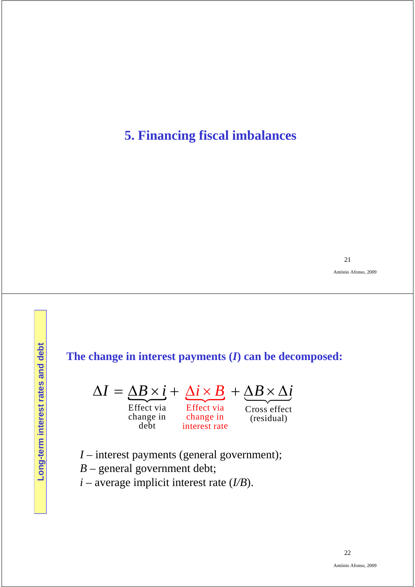## **5. Financing fiscal imbalances**

21

António Afonso, 2009

### **The change in interest payments (***I***) can be decomposed:**



change in change in change in (residual)<br>debt interest rate Effect via Effect via Cross effect<br>change in change in (residual)

- *I* interest payments (general government);
- *B* general government debt;
- *i* average implicit interest rate (*I/B*).

Long-term interest rates and debt **Long-term interest rates and debt**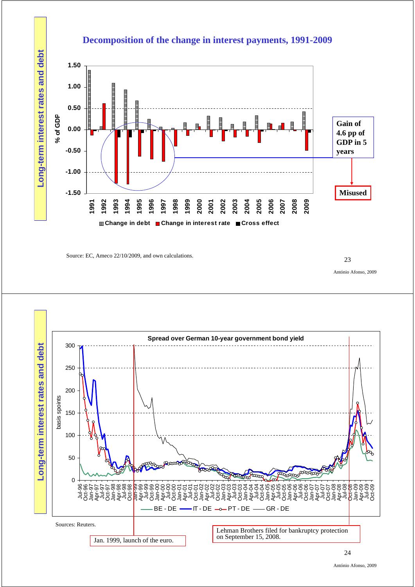

Source: EC, Ameco 22/10/2009, and own calculations. 23

António Afonso, 2009



#### **Decomposition of the change in interest payments, 1991-2009**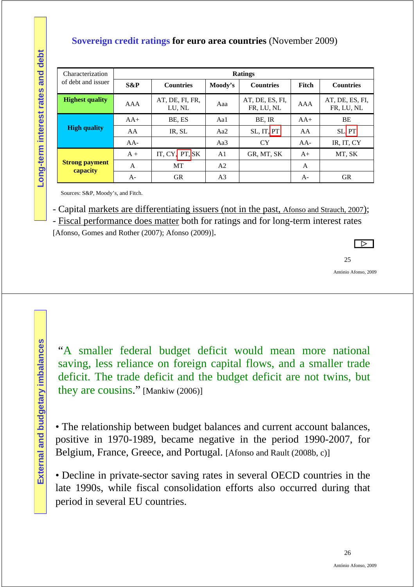#### **Sovereign credit ratings for euro area countries** (November 2009)

| Characterization                  |        |                           |                | <b>Ratings</b>                |       |                               |  |
|-----------------------------------|--------|---------------------------|----------------|-------------------------------|-------|-------------------------------|--|
| of debt and issuer                | $S\&P$ | <b>Countries</b>          | Moody's        | <b>Countries</b>              | Fitch | <b>Countries</b>              |  |
| <b>Highest quality</b>            | AAA    | AT, DE, FI, FR,<br>LU, NL | Aaa            | AT, DE, ES, FI,<br>FR, LU, NL | AAA   | AT, DE, ES, FI,<br>FR, LU, NL |  |
|                                   | $AA+$  | BE, ES                    | Aal            | BE, IR                        | $AA+$ | BE                            |  |
| <b>High quality</b>               | AA     | IR, SL                    | Aa2            | SL, IT, PT                    | AA    | <b>SLIPT</b>                  |  |
|                                   | $AA-$  |                           | Aa $3$         | <b>CY</b>                     | $AA-$ | IR, IT, CY                    |  |
|                                   | $A +$  | IT, $CY$ , $PT$ , $SK$    | A <sub>1</sub> | GR, MT, SK                    | $A+$  | MT, SK                        |  |
| <b>Strong payment</b><br>capacity | A      | MT                        | A <sub>2</sub> |                               | A     |                               |  |
|                                   | $A-$   | <b>GR</b>                 | A3             |                               | $A-$  | <b>GR</b>                     |  |

Sources: S&P, Moody's, and Fitch.

- Capital markets are differentiating issuers (not in the past, Afonso and Strauch, 2007);

- Fiscal performance does matter both for ratings and for long-term interest rates

[Afonso, Gomes and Rother (2007); Afonso (2009)].

 $\overline{\triangleright}$ 



António Afonso, 2009

"A smaller federal budget deficit would mean more national saving, less reliance on foreign capital flows, and a smaller trade deficit. The trade deficit and the budget deficit are not twins, but they are cousins." [Mankiw (2006)]

• The relationship between budget balances and current account balances, positive in 1970-1989, became negative in the period 1990-2007, for Belgium, France, Greece, and Portugal. [Afonso and Rault (2008b, c)]

• Decline in private-sector saving rates in several OECD countries in the late 1990s, while fiscal consolidation efforts also occurred during that period in several EU countries.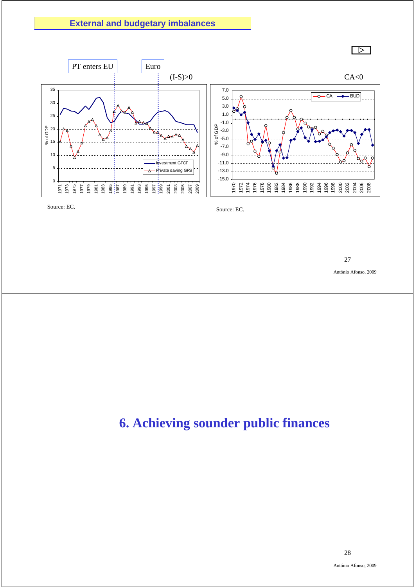#### **External and budgetary imbalances**



27

António Afonso, 2009

# **6. Achieving sounder public finances**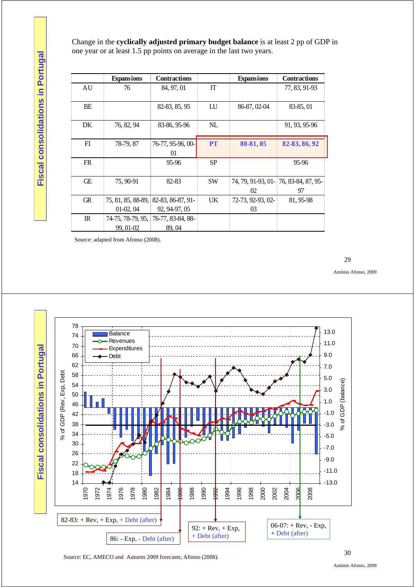Change in the **cyclically adjusted primary budget balance** is at least 2 pp of GDP in one year or at least 1.5 pp points on average in the last two years.

|             | <b>Expansions</b>  | <b>Contractions</b> |           | <b>Expansions</b>  | <b>Contractions</b> |
|-------------|--------------------|---------------------|-----------|--------------------|---------------------|
| AU          | 76                 | 84, 97, 01          | IT        |                    | 77, 83, 91-93       |
|             |                    |                     |           |                    |                     |
| BE          |                    | 82-83, 85, 95       | LU        | 86-87, 02-04       | 83-85, 01           |
|             |                    |                     |           |                    |                     |
| DK          | 76, 82, 94         | 83-86, 95-96        | NL        |                    | 91, 93, 95-96       |
|             |                    |                     |           |                    |                     |
| FI          | 78-79, 87          | 76-77, 95-96, 00-   | PT        | 80-81,05           | 82-83, 86, 92       |
|             |                    | 01                  |           |                    |                     |
| <b>FR</b>   |                    | 95-96               | <b>SP</b> |                    | 95-96               |
|             |                    |                     |           |                    |                     |
| Œ           | 75, 90-91          | 82-83               | <b>SW</b> | 74, 79, 91-93, 01- | 76, 83-84, 87, 95-  |
|             |                    |                     |           | 02                 | 97                  |
| <b>GR</b>   | 75, 81, 85, 88-89, | 82-83, 86-87, 91-   | UK        | 72-73, 92-93, 02-  | 81, 95-98           |
|             | $01-02,04$         | 92, 94-97, 05       |           | 03                 |                     |
| $_{\rm IR}$ | 74-75, 78-79, 95,  | 76-77, 83-84, 88-   |           |                    |                     |
|             | 99, 01-02          | 89,04               |           |                    |                     |

Source: adapted from Afonso (2008).

29

António Afonso, 2009



Source: EC, AMECO and Autumn 2009 forecasts; Afonso (2008).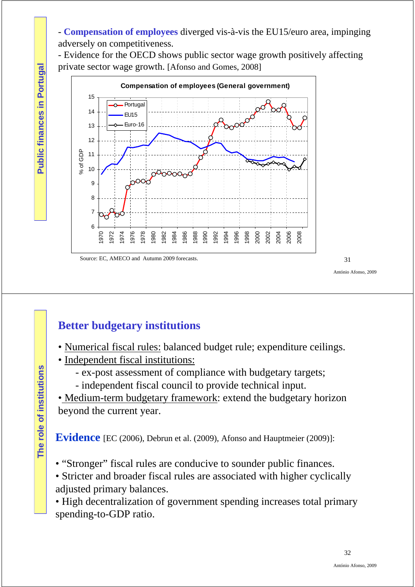- **Compensation of employees** diverged vis-à-vis the EU15/euro area, impinging adversely on competitiveness.

- Evidence for the OECD shows public sector wage growth positively affecting private sector wage growth. [Afonso and Gomes, 2008]



Source: EC, AMECO and Autumn 2009 forecasts.

31

António Afonso, 2009

## **Better budgetary institutions**

- Numerical fiscal rules: balanced budget rule; expenditure ceilings.
- Independent fiscal institutions:
	- ex-post assessment of compliance with budgetary targets;
	- independent fiscal council to provide technical input.

• Medium-term budgetary framework: extend the budgetary horizon beyond the current year.

**Evidence** [EC (2006), Debrun et al. (2009), Afonso and Hauptmeier (2009)]:

- "Stronger" fiscal rules are conducive to sounder public finances.
- Stricter and broader fiscal rules are associated with higher cyclically adjusted primary balances.

• High decentralization of government spending increases total primary spending-to-GDP ratio.

**Public finances in Portugal**

**Public finances in Portugal**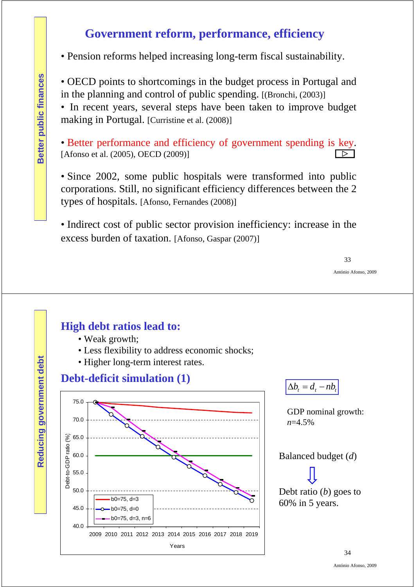## **Government reform, performance, efficiency**

• Pension reforms helped increasing long-term fiscal sustainability.

• OECD points to shortcomings in the budget process in Portugal and in the planning and control of public spending. [(Bronchi, (2003)]

• In recent years, several steps have been taken to improve budget making in Portugal. [Curristine et al. (2008)]

• Better performance and efficiency of government spending is key. [Afonso et al. (2005), OECD (2009)]  $\Box$ 

• Since 2002, some public hospitals were transformed into public corporations. Still, no significant efficiency differences between the 2 types of hospitals. [Afonso, Fernandes (2008)]

• Indirect cost of public sector provision inefficiency: increase in the excess burden of taxation. [Afonso, Gaspar (2007)]

33

António Afonso, 2009

### **High debt ratios lead to:**

- Weak growth;
- Less flexibility to address economic shocks;
- Higher long-term interest rates.



 $\Delta b_t = d_t - nb_t$ 

GDP nominal growth: *n*=4.5%





Debt ratio (*b*) goes to 60% in 5 years.

**Reducing government debt**

Reducing government debt

34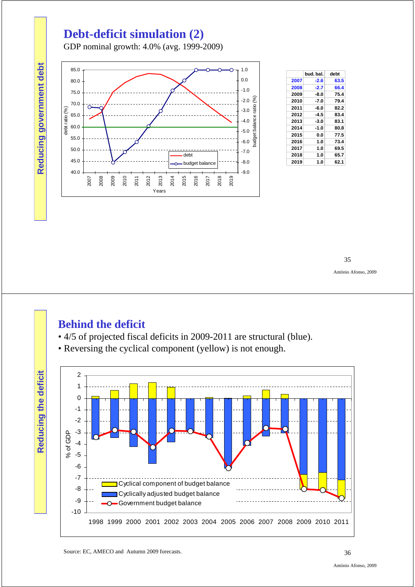## **Debt-deficit simulation (2)**

GDP nominal growth: 4.0% (avg. 1999-2009)



|      | bud. bal. | debt |
|------|-----------|------|
| 2007 | -2.6      | 63.5 |
| 2008 | $-2.7$    | 66.4 |
| 2009 | -8.0      | 75.4 |
| 2010 | -7.0      | 79.4 |
| 2011 | -6.0      | 82.2 |
| 2012 | -4.5      | 83.4 |
| 2013 | -3.0      | 83.1 |
| 2014 | -1.0      | 80.8 |
| 2015 | 0.0       | 77.5 |
| 2016 | 1.0       | 73.4 |
| 2017 | 1.0       | 69.5 |
| 2018 | 1.0       | 65.7 |
| 2019 | 1.0       | 62.1 |

35

António Afonso, 2009

### **Behind the deficit**

**Reducing government debt**

- 4/5 of projected fiscal deficits in 2009-2011 are structural (blue).
- Reversing the cyclical component (yellow) is not enough.

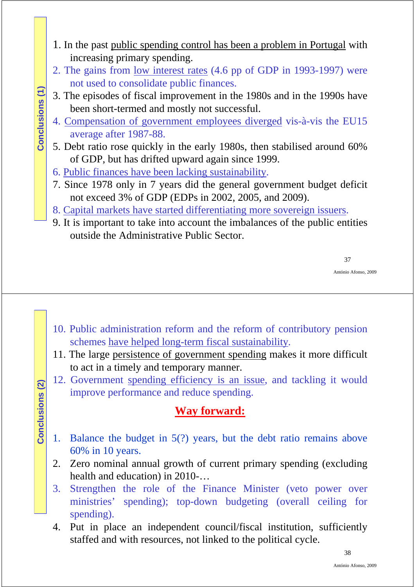- 1. In the past public spending control has been a problem in Portugal with increasing primary spending.
- 2. The gains from low interest rates (4.6 pp of GDP in 1993-1997) were not used to consolidate public finances.
- 3. The episodes of fiscal improvement in the 1980s and in the 1990s have been short-termed and mostly not successful.
- 4. Compensation of government employees diverged vis-à-vis the EU15 average after 1987-88.
- 5. Debt ratio rose quickly in the early 1980s, then stabilised around 60% of GDP, but has drifted upward again since 1999.
- 6. Public finances have been lacking sustainability.

**Conclusions (1)**

Conclusions (1)

**Conclusions (2)**

Conclusions (2)

- 7. Since 1978 only in 7 years did the general government budget deficit not exceed 3% of GDP (EDPs in 2002, 2005, and 2009).
- 8. Capital markets have started differentiating more sovereign issuers.
- 9. It is important to take into account the imbalances of the public entities outside the Administrative Public Sector.

37

António Afonso, 2009

- 10. Public administration reform and the reform of contributory pension schemes have helped long-term fiscal sustainability.
- 11. The large persistence of government spending makes it more difficult to act in a timely and temporary manner.
- 12. Government spending efficiency is an issue, and tackling it would improve performance and reduce spending.

## **Way forward:**

- 1. Balance the budget in 5(?) years, but the debt ratio remains above 60% in 10 years.
- 2. Zero nominal annual growth of current primary spending (excluding health and education) in 2010-…
- 3. Strengthen the role of the Finance Minister (veto power over ministries' spending); top-down budgeting (overall ceiling for spending).
- 4. Put in place an independent council/fiscal institution, sufficiently staffed and with resources, not linked to the political cycle.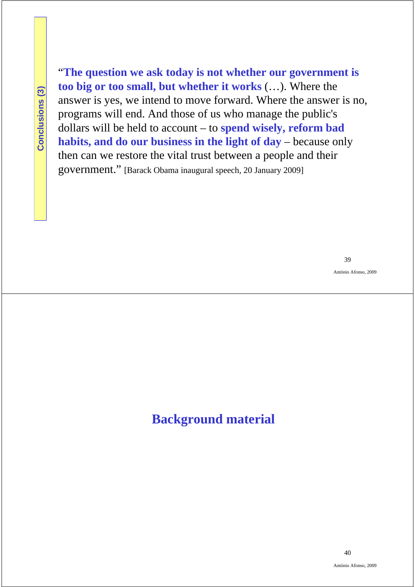Conclusions (3) **Conclusions (3)** "**The question we ask today is not whether our government is too big or too small, but whether it works** (…). Where the answer is yes, we intend to move forward. Where the answer is no, programs will end. And those of us who manage the public's dollars will be held to account – to **spend wisely, reform bad habits, and do our business in the light of day** – because only then can we restore the vital trust between a people and their government." [Barack Obama inaugural speech, 20 January 2009]

39

António Afonso, 2009

## **Background material**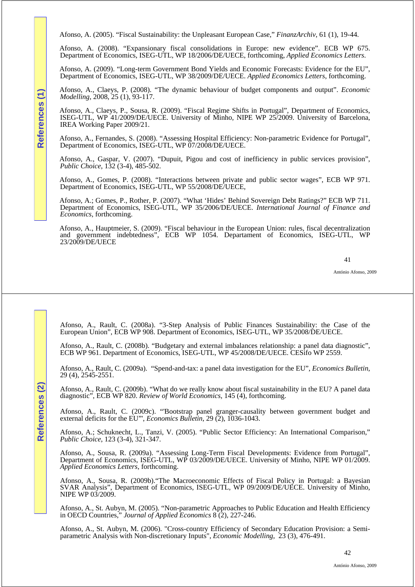Afonso, A. (2005). "Fiscal Sustainability: the Unpleasant European Case," *FinanzArchiv*, 61 (1), 19-44.

Afonso, A. (2008). "Expansionary fiscal consolidations in Europe: new evidence". ECB WP 675. Department of Economics, ISEG-UTL, WP 18/2006/DE/UECE, forthcoming, *Applied Economics Letters*.

Afonso, A. (2009). "Long-term Government Bond Yields and Economic Forecasts: Evidence for the EU", Department of Economics, ISEG-UTL, WP 38/2009/DE/UECE. *Applied Economics Letters*, forthcoming.

Afonso, A., Claeys, P. (2008). "The dynamic behaviour of budget components and output". *Economic Modelling*, 2008, 25 (1), 93-117.

Afonso, A., Claeys, P., Sousa, R. (2009). "Fiscal Regime Shifts in Portugal", Department of Economics, ISEG-UTL, WP 41/2009/DE/UECE. University of Minho, NIPE WP 25/2009. University of Barcelona, IREA Working Paper 2009/21.

Afonso, A., Fernandes, S. (2008). "Assessing Hospital Efficiency: Non-parametric Evidence for Portugal", Department of Economics, ISEG-UTL, WP 07/2008/DE/UECE.

Afonso, A., Gaspar, V. (2007). "Dupuit, Pigou and cost of inefficiency in public services provision", *Public Choice*, 132 (3-4), 485-502.

Afonso, A., Gomes, P. (2008). "Interactions between private and public sector wages", ECB WP 971. Department of Economics, ISEG-UTL, WP 55/2008/DE/UECE,

Afonso, A.; Gomes, P., Rother, P. (2007). "What 'Hides' Behind Sovereign Debt Ratings?" ECB WP 711. Department of Economics, ISEG-UTL, WP 35/2006/DE/UECE. *International Journal of Finance and Economics*, forthcoming.

Afonso, A., Hauptmeier, S. (2009). "Fiscal behaviour in the European Union: rules, fiscal decentralization and government indebtedness", ECB WP 1054. Departament of Economics, ISEG-UTL, WP 23/2009/DE/UECE

41

António Afonso, 2009

Afonso, A., Rault, C. (2008a). "3-Step Analysis of Public Finances Sustainability: the Case of the European Union", ECB WP 908. Department of Economics, ISEG-UTL, WP 35/2008/DE/UECE.

Afonso, A., Rault, C. (2008b). "Budgetary and external imbalances relationship: a panel data diagnostic", ECB WP 961. Department of Economics, ISEG-UTL, WP 45/2008/DE/UECE. CESifo WP 2559.

Afonso, A., Rault, C. (2009a). "Spend-and-tax: a panel data investigation for the EU", *Economics Bulletin*, 29 (4), 2545-2551.

Afonso, A., Rault, C. (2009b). "What do we really know about fiscal sustainability in the EU? A panel data diagnostic", ECB WP 820. *Review of World Economics*, 145 (4), forthcoming.

Afonso, A., Rault, C. (2009c). "'Bootstrap panel granger-causality between government budget and external deficits for the EU"', *Economics Bulletin*, 29 (2), 1036-1043.

Afonso, A.; Schuknecht, L., Tanzi, V. (2005). "Public Sector Efficiency: An International Comparison," *Public Choice*, 123 (3-4), 321-347.

Afonso, A., Sousa, R. (2009a). "Assessing Long-Term Fiscal Developments: Evidence from Portugal", Department of Economics, ISEG-UTL, WP 03/2009/DE/UECE. University of Minho, NIPE WP 01/2009. *Applied Economics Letters*, forthcoming.

Afonso, A., Sousa, R. (2009b)."The Macroeconomic Effects of Fiscal Policy in Portugal: a Bayesian SVAR Analysis", Department of Economics, ISEG-UTL, WP 09/2009/DE/UECE. University of Minho, NIPE WP 03/2009.

Afonso, A., St. Aubyn, M. (2005). "Non-parametric Approaches to Public Education and Health Efficiency in OECD Countries," *Journal of Applied Economics* 8 (2), 227-246.

Afonso, A., St. Aubyn, M. (2006). "Cross-country Efficiency of Secondary Education Provision: a Semiparametric Analysis with Non-discretionary Inputs", *Economic Modelling*, 23 (3), 476-491.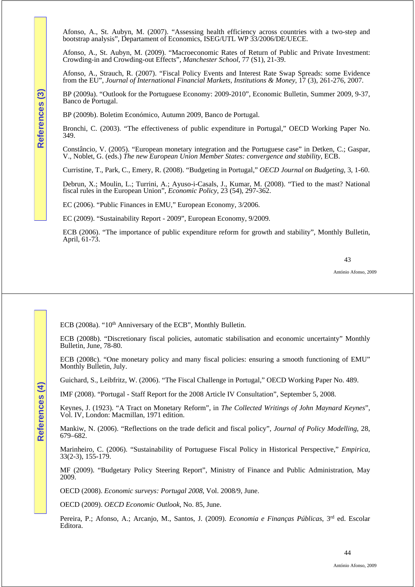Afonso, A., St. Aubyn, M. (2007). "Assessing health efficiency across countries with a two-step and bootstrap analysis", Departament of Economics, ISEG/UTL WP 33/2006/DE/UECE.

Afonso, A., St. Aubyn, M. (2009). "Macroeconomic Rates of Return of Public and Private Investment: Crowding-in and Crowding-out Effects", *Manchester School*, 77 (S1), 21-39.

Afonso, A., Strauch, R. (2007). "Fiscal Policy Events and Interest Rate Swap Spreads: some Evidence from the EU", *Journal of International Financial Markets, Institutions & Money*, 17 (3), 261-276, 2007.

BP (2009a). "Outlook for the Portuguese Economy: 2009-2010", Economic Bulletin, Summer 2009, 9-37, Banco de Portugal.

BP (2009b). Boletim Económico, Autumn 2009, Banco de Portugal.

Bronchi, C. (2003). "The effectiveness of public expenditure in Portugal," OECD Working Paper No. 349.

Constâncio, V. (2005). "European monetary integration and the Portuguese case" in Detken, C.; Gaspar, V., Noblet, G. (eds.) *The new European Union Member States: convergence and stability*, ECB.

Curristine, T., Park, C., Emery, R. (2008). "Budgeting in Portugal," *OECD Journal on Budgeting*, 3, 1-60.

Debrun, X.; Moulin, L.; Turrini, A.; Ayuso-i-Casals, J., Kumar, M. (2008). "Tied to the mast? National fiscal rules in the European Union", *Economic Policy*, 23 (54), 297-362.

EC (2006). "Public Finances in EMU," European Economy, 3/2006.

EC (2009). "Sustainability Report - 2009", European Economy, 9/2009.

ECB (2006). "The importance of public expenditure reform for growth and stability", Monthly Bulletin, April, 61-73.

43

António Afonso, 2009

ECB (2008a). "10<sup>th</sup> Anniversary of the ECB", Monthly Bulletin.

ECB (2008b). "Discretionary fiscal policies, automatic stabilisation and economic uncertainty" Monthly Bulletin, June, 78-80.

ECB (2008c). "One monetary policy and many fiscal policies: ensuring a smooth functioning of EMU" Monthly Bulletin, July.

Guichard, S., Leibfritz, W. (2006). "The Fiscal Challenge in Portugal," OECD Working Paper No. 489.

IMF (2008). "Portugal - Staff Report for the 2008 Article IV Consultation", September 5, 2008.

Keynes, J. (1923). "A Tract on Monetary Reform", in *The Collected Writings of John Maynard Keynes*", Vol. IV, London: Macmillan, 1971 edition.

Mankiw, N. (2006). "Reflections on the trade deficit and fiscal policy", *Journal of Policy Modelling*, 28, 679–682.

Marinheiro, C. (2006). "Sustainability of Portuguese Fiscal Policy in Historical Perspective," *Empirica*, 33(2-3), 155-179.

MF (2009). "Budgetary Policy Steering Report", Ministry of Finance and Public Administration, May 2009.

OECD (2008). *Economic surveys: Portugal 2008*, Vol. 2008/9, June.

OECD (2009). *OECD Economic Outlook*, No. 85, June.

Pereira, P.; Afonso, A.; Arcanjo, M., Santos, J. (2009). *Economia e Finanças Públicas*, 3rd ed. Escolar Editora.

**References (3)**

References

ဩ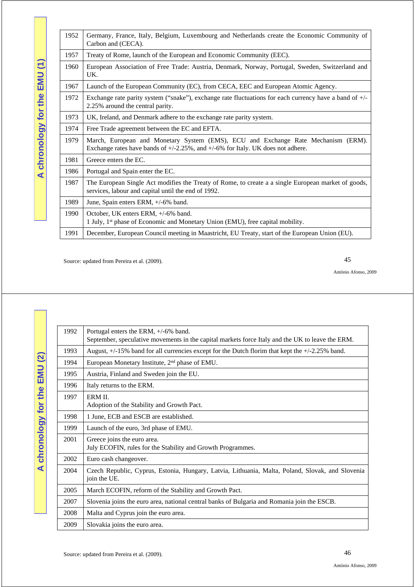A chronology for the EMU (1) **A chronology for the EMU (1)**

| 1952 | Germany, France, Italy, Belgium, Luxembourg and Netherlands create the Economic Community of<br>Carbon and (CECA).                                                          |
|------|-----------------------------------------------------------------------------------------------------------------------------------------------------------------------------|
| 1957 | Treaty of Rome, launch of the European and Economic Community (EEC).                                                                                                        |
| 1960 | European Association of Free Trade: Austria, Denmark, Norway, Portugal, Sweden, Switzerland and<br>UK.                                                                      |
| 1967 | Launch of the European Community (EC), from CECA, EEC and European Atomic Agency.                                                                                           |
| 1972 | Exchange rate parity system ("snake"), exchange rate fluctuations for each currency have a band of +/-<br>2.25% around the central parity.                                  |
| 1973 | UK, Ireland, and Denmark adhere to the exchange rate parity system.                                                                                                         |
| 1974 | Free Trade agreement between the EC and EFTA.                                                                                                                               |
| 1979 | March, European and Monetary System (EMS), ECU and Exchange Rate Mechanism (ERM).<br>Exchange rates have bands of $+/-2.25\%$ , and $+/-6\%$ for Italy. UK does not adhere. |
| 1981 | Greece enters the EC.                                                                                                                                                       |
| 1986 | Portugal and Spain enter the EC.                                                                                                                                            |
| 1987 | The European Single Act modifies the Treaty of Rome, to create a a single European market of goods,<br>services, labour and capital until the end of 1992.                  |
| 1989 | June, Spain enters ERM, +/-6% band.                                                                                                                                         |
| 1990 | October, UK enters ERM, +/-6% band.<br>1 July, 1 <sup>st</sup> phase of Economic and Monetary Union (EMU), free capital mobility.                                           |
| 1991 | December, European Council meeting in Maastricht, EU Treaty, start of the European Union (EU).                                                                              |

Source: updated from Pereira et al. (2009).

45

António Afonso, 2009

A chronology for the EMU (2) **A chronology for the EMU (2)**

| 1992 | Portugal enters the ERM, $+/-6\%$ band.<br>September, speculative movements in the capital markets force Italy and the UK to leave the ERM. |
|------|---------------------------------------------------------------------------------------------------------------------------------------------|
| 1993 | August, +/-15% band for all currencies except for the Dutch florim that kept the +/-2.25% band.                                             |
| 1994 | European Monetary Institute, 2 <sup>nd</sup> phase of EMU.                                                                                  |
| 1995 | Austria, Finland and Sweden join the EU.                                                                                                    |
| 1996 | Italy returns to the ERM.                                                                                                                   |
| 1997 | ERM II.<br>Adoption of the Stability and Growth Pact.                                                                                       |
| 1998 | 1 June, ECB and ESCB are established.                                                                                                       |
| 1999 | Launch of the euro, 3rd phase of EMU.                                                                                                       |
| 2001 | Greece joins the euro area.<br>July ECOFIN, rules for the Stability and Growth Programmes.                                                  |
| 2002 | Euro cash changeover.                                                                                                                       |
| 2004 | Czech Republic, Cyprus, Estonia, Hungary, Latvia, Lithuania, Malta, Poland, Slovak, and Slovenia<br>join the UE.                            |
| 2005 | March ECOFIN, reform of the Stability and Growth Pact.                                                                                      |
| 2007 | Slovenia joins the euro area, national central banks of Bulgaria and Romania join the ESCB.                                                 |
| 2008 | Malta and Cyprus join the euro area.                                                                                                        |
| 2009 | Slovakia joins the euro area.                                                                                                               |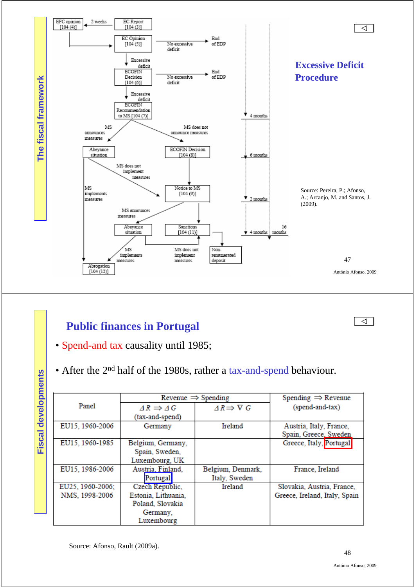

## **Public finances in Portugal**

- Spend-and tax causality until 1985;
- After the 2<sup>nd</sup> half of the 1980s, rather a tax-and-spend behaviour.

|                  |                     | Revenue $\Rightarrow$ Spending | Spending $\Rightarrow$ Revenue |
|------------------|---------------------|--------------------------------|--------------------------------|
| Panel            | $AR \implies AG$    | $AR \Rightarrow \nabla G$      | (spend-and-tax)                |
|                  | (tax-and-spend)     |                                |                                |
| EU15, 1960-2006  | Germany             | Ireland                        | Austria, Italy, France,        |
|                  |                     |                                | Spain, Greece, Sweden          |
| EU15, 1960-1985  | Belgium, Germany,   |                                | Greece, Italy, Portugal        |
|                  | Spain, Sweden,      |                                |                                |
|                  | Luxembourg, UK      |                                |                                |
| EU15, 1986-2006  | Austria, Finland,   | Belgium, Denmark,              | France, Ireland                |
|                  | Portugal            | Italy, Sweden                  |                                |
| EU25, 1960-2006; | Czech Republic,     | Ireland                        | Slovakia, Austria, France,     |
| NMS, 1998-2006   | Estonia, Lithuania, |                                | Greece, Ireland, Italy, Spain  |
|                  | Poland, Slovakia    |                                |                                |
|                  | Germany,            |                                |                                |
|                  | Luxembourg          |                                |                                |

Source: Afonso, Rault (2009a).

**Fiscal developments**

**Fiscal developments** 

বা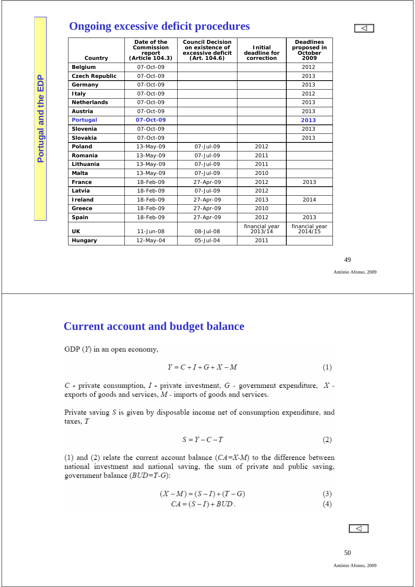## **Ongoing excessive deficit procedures**

| Country               | Date of the<br>Commission<br>report<br>(Article 104.3) | <b>Council Decision</b><br>on existence of<br>excessive deficit<br>(Art. 104.6) | <b>Initial</b><br>deadline for<br>correction | <b>Deadlines</b><br>proposed in<br>October<br>2009 |
|-----------------------|--------------------------------------------------------|---------------------------------------------------------------------------------|----------------------------------------------|----------------------------------------------------|
| <b>Belgium</b>        | $07 - Oct - 09$                                        |                                                                                 |                                              | 2012                                               |
| <b>Czech Republic</b> | $07 - Oct - 09$                                        |                                                                                 |                                              | 2013                                               |
| Germany               | $07 - Oct - 09$                                        |                                                                                 |                                              | 2013                                               |
| <b>Italy</b>          | $07 - Oct - 09$                                        |                                                                                 |                                              | 2012                                               |
| <b>Netherlands</b>    | $07 - Oct - 09$                                        |                                                                                 |                                              | 2013                                               |
| Austria               | $07 - Oct - 09$                                        |                                                                                 |                                              | 2013                                               |
| <b>Portugal</b>       | 07-Oct-09                                              |                                                                                 |                                              | 2013                                               |
| Slovenia              | $07-Oct-09$                                            |                                                                                 |                                              | 2013                                               |
| Slovakia              | $07 - Oct - 09$                                        |                                                                                 |                                              | 2013                                               |
| Poland                | 13-May-09                                              | $07 -$ Jul-09                                                                   | 2012                                         |                                                    |
| Romania               | 13-May-09                                              | $07 -$ Jul-09                                                                   | 2011                                         |                                                    |
| Lithuania             | 13-May-09                                              | $07 -$ Jul-09                                                                   | 2011                                         |                                                    |
| Malta                 | 13-May-09                                              | $07 -$ Jul-09                                                                   | 2010                                         |                                                    |
| France                | 18-Feb-09                                              | 27-Apr-09                                                                       | 2012                                         | 2013                                               |
| Latvia                | 18-Feb-09                                              | $07 -$ Jul-09                                                                   | 2012                                         |                                                    |
| <b>I</b> reland       | 18-Feb-09                                              | 27-Apr-09                                                                       | 2013                                         | 2014                                               |
| Greece                | 18-Feb-09                                              | 27-Apr-09                                                                       | 2010                                         |                                                    |
| Spain                 | 18-Feb-09                                              | 27-Apr-09                                                                       | 2012                                         | 2013                                               |
| <b>UK</b>             | $11 - Jun - 08$                                        | $08 -$ Jul-08                                                                   | financial year<br>2013/14                    | financial year<br>2014/15                          |
| Hungary               | 12-May-04                                              | 05-Jul-04                                                                       | 2011                                         |                                                    |

49

António Afonso, 2009

### **Current account and budget balance**

GDP  $(Y)$  in an open economy,

**Portugal and the EDP**

Portugal and the EDP

$$
Y = C + I + G + X - M \tag{1}
$$

 $C$  - private consumption,  $I$  - private investment,  $G$  - government expenditure,  $X$  exports of goods and services,  $M$  - imports of goods and services.

Private saving S is given by disposable income net of consumption expenditure, and taxes,  $T$ 

$$
S = Y - C - T \tag{2}
$$

(1) and (2) relate the current account balance  $(CA=X-M)$  to the difference between national investment and national saving, the sum of private and public saving, government balance  $(BUD=T-G)$ :

$$
(X - M) = (S - I) + (T - G)
$$
\n(3)

$$
CA = (S - I) + BUD.
$$
 (4)

 $\overline{\Delta}$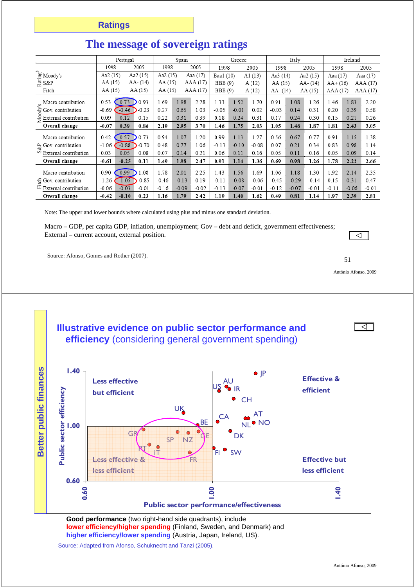|                                                                  |          | Portugal |          |          | Spain   |          |                | Greece  |         |          | Italy   |             |           | Ireland |          |
|------------------------------------------------------------------|----------|----------|----------|----------|---------|----------|----------------|---------|---------|----------|---------|-------------|-----------|---------|----------|
|                                                                  | 1998     |          | 2005     | 1998     |         | 2005     | 1998           |         | 2005    | 1998     |         | 2005        | 1998      |         | 2005     |
| $\mathbb{E}^{\text{B}}_{\mathbb{E}}$ Moody's<br>$\mathbb{E}$ S&P | Aa2 (15) |          | Aa2 (15) | Aa2 (15) |         | Aaa (17) | Baa1 (10)      |         | A1 (13) | Aa3 (14) |         | Aa2 (15)    | Aaa (17)  |         | Aaa (17) |
|                                                                  | AA (15)  |          | AA- (14) | AA (15)  |         | AAA (17) | <b>BBB</b> (9) |         | A(12)   | AA (15)  |         | $AA - (14)$ | $AA+(16)$ |         | AAA (17) |
| Fitch                                                            | AA (15)  |          | AA (15)  | AA (15)  |         | AAA (17) | <b>BBB</b> (9) |         | A(12)   | AA- (14) |         | AA (15)     | AAA (17)  |         | AAA (17) |
| " Macro contribution                                             | 0.53     | 0.73     | 0.93     | 1.69     | 1.98    | 2.28     | 1.33           | 1.52    | 1.70    | 0.91     | 1.08    | 1.26        | 1.46      | 1.83    | 2.20     |
| g Gov. contribution                                              | $-0.69$  | $-0.46$  | $-0.23$  | 0.27     | 0.65    | 1.03     | $-0.05$        | $-0.01$ | 0.02    | $-0.03$  | 0.14    | 0.31        | 0.20      | 0.39    | 0.58     |
| $\frac{3}{2}$ External contribution                              | 0.09     | 0.12     | 0.15     | 0.22     | 0.31    | 0.39     | 0.18           | 0.24    | 0.31    | 0.17     | 0.24    | 0.30        | 0.15      | 0.21    | 0.26     |
| Overall change                                                   | $-0.07$  | 0.39     | 0.86     | 2.19     | 2.95    | 3.70     | 1.46           | 1.75    | 2.03    | 1.05     | 1.46    | 1.87        | 1.81      | 2.43    | 3.05     |
| Macro contribution                                               | 0.42     | 0.57     | 0.73     | 0.94     | 1.07    | 1.20     | 0.99           | 1.13    | 1.27    | 0.56     | 0.67    | 0.77        | 0.91      | 1.15    | 1.38     |
| $\frac{\alpha}{\omega}$ Gov. contribution                        | $-1.06$  | $-0.88$  | $-0.70$  | 0.48     | 0.77    | 1.06     | $-0.13$        | $-0.10$ | $-0.08$ | 0.07     | 0.21    | 0.34        | 0.83      | 0.98    | 1.14     |
| s<br>External contribution                                       | 0.03     | 0.05     | 0.08     | 0.07     | 0.14    | 0.21     | 0.06           | 0.11    | 0.16    | 0.05     | 0.11    | 0.16        | 0.05      | 0.09    | 0.14     |
| Overall change                                                   | $-0.61$  | $-0.25$  | 0.11     | 1.49     | 1.98    | 2.47     | 0.91           | 1.14    | 1.36    | 0.69     | 0.98    | 1.26        | 1.78      | 2.22    | 2.66     |
| Macro contribution                                               | 0.90     | 0.99     | 1.08     | 1.78     | 2.01    | 2.25     | 1.43           | 1.56    | 1.69    | 1.06     | 1.18    | 1.30        | 1.92      | 2.14    | 2.35     |
| 号 Gov. contribution                                              | $-1.26$  | $-1.05$  | $-0.85$  | $-0.46$  | $-0.13$ | 0.19     | $-0.11$        | $-0.08$ | $-0.06$ | $-0.45$  | $-0.29$ | $-0.14$     | 0.15      | 0.31    | 0.47     |
| 运<br>External contribution                                       | $-0.06$  | $-0.03$  | $-0.01$  | $-0.16$  | $-0.09$ | $-0.02$  | $-0.13$        | $-0.07$ | $-0.01$ | $-0.12$  | $-0.07$ | $-0.01$     | $-0.11$   | $-0.06$ | $-0.01$  |
| Overall change                                                   | $-0.42$  | $-0.10$  | 0.23     | 1.16     | 1.79    | 2.42     | 1.19           | 1.40    | 1.62    | 0.49     | 0.81    | 1.14        | 1.97      | 2.39    | 2.81     |

## **The message of sovereign ratings**

Note: The upper and lower bounds where calculated using plus and minus one standard deviation.

Macro – GDP, per capita GDP, inflation, unemployment; Gov – debt and deficit, government effectiveness; External – current account, external position.

Source: Afonso, Gomes and Rother (2007). 51

![](_page_25_Figure_6.jpeg)

**Good performance** (two right-hand side quadrants), include **lower efficiency/higher spending** (Finland, Sweden, and Denmark) and **higher efficiency/lower spending** (Austria, Japan, Ireland, US).

Source: Adapted from Afonso, Schuknecht and Tanzi (2005).

António Afonso, 2009

 $\overline{\lhd}$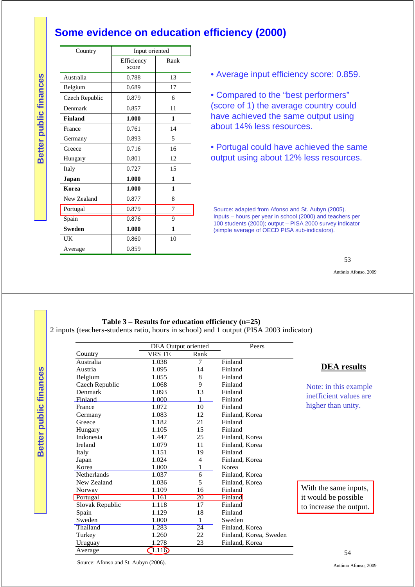### **Some evidence on education efficiency (2000)**

| Country        | Input oriented      |      |
|----------------|---------------------|------|
|                | Efficiency<br>score | Rank |
| Australia      | 0.788               | 13   |
| Belgium        | 0.689               | 17   |
| Czech Republic | 0.879               | 6    |
| Denmark        | 0.857               | 11   |
| <b>Finland</b> | 1.000               | 1    |
| France         | 0.761               | 14   |
| Germany        | 0.893               | 5    |
| Greece         | 0.716               | 16   |
| Hungary        | 0.801               | 12   |
| Italy          | 0.727               | 15   |
| Japan          | 1.000               | 1    |
| Korea          | 1.000               | 1    |
| New Zealand    | 0.877               | 8    |
| Portugal       | 0.879               | 7    |
| Spain          | 0.876               | 9    |
| <b>Sweden</b>  | 1.000               | 1    |
| UK             | 0.860               | 10   |
| Average        | 0.859               |      |

• Average input efficiency score: 0.859.

• Compared to the "best performers" (score of 1) the average country could have achieved the same output using about 14% less resources.

• Portugal could have achieved the same output using about 12% less resources.

Source: adapted from Afonso and St. Aubyn (2005). Inputs – hours per year in school (2000) and teachers per 100 students (2000); output – PISA 2000 survey indicator (simple average of OECD PISA sub-indicators).

53

António Afonso, 2009

#### **Table 3 – Results for education efficiency (n=25)**

2 inputs (teachers-students ratio, hours in school) and 1 output (PISA 2003 indicator)

|                    | DEA Output oriented |                 | Peers                  |                         |
|--------------------|---------------------|-----------------|------------------------|-------------------------|
| Country            | <b>VRS TE</b>       | Rank            |                        |                         |
| Australia          | 1.038               | 7               | Finland                |                         |
| Austria            | 1.095               | 14              | Finland                | <b>DEA</b> results      |
| Belgium            | 1.055               | 8               | Finland                |                         |
| Czech Republic     | 1.068               | 9               | Finland                | Note: in this example   |
| Denmark            | 1.093               | 13              | Finland                | inefficient values are  |
| Finland            | 1.000               |                 | Finland                |                         |
| France             | 1.072               | 10              | Finland                | higher than unity.      |
| Germany            | 1.083               | 12              | Finland, Korea         |                         |
| Greece             | 1.182               | 21              | Finland                |                         |
| Hungary            | 1.105               | 15              | Finland                |                         |
| Indonesia          | 1.447               | 25              | Finland, Korea         |                         |
| <b>Ireland</b>     | 1.079               | 11              | Finland, Korea         |                         |
| Italy              | 1.151               | 19              | Finland                |                         |
| Japan              | 1.024               | 4               | Finland, Korea         |                         |
| Korea              | 1.000               |                 | Korea                  |                         |
| <b>Netherlands</b> | 1.037               | 6               | Finland, Korea         |                         |
| New Zealand        | 1.036               | 5               | Finland, Korea         |                         |
| Norway             | 1.109               | 16              | Finland                | With the same inputs,   |
| Portugal           | 1.161               | 20              | Finland                | it would be possible    |
| Slovak Republic    | 1.118               | 17              | Finland                | to increase the output. |
| Spain              | 1.129               | 18              | Finland                |                         |
| Sweden             | 1.000               | 1               | Sweden                 |                         |
| Thailand           | 1.283               | $\overline{24}$ | Finland, Korea         |                         |
| Turkey             | 1.260               | 22              | Finland, Korea, Sweden |                         |
| Uruguay            | 1.278               | 23              | Finland, Korea         |                         |
| Average            | 1.11 <sub>o</sub>   |                 |                        | 54                      |

Better public finances **Better public finances**

**Better public finances**

Better public finances

Source: Afonso and St. Aubyn (2006).